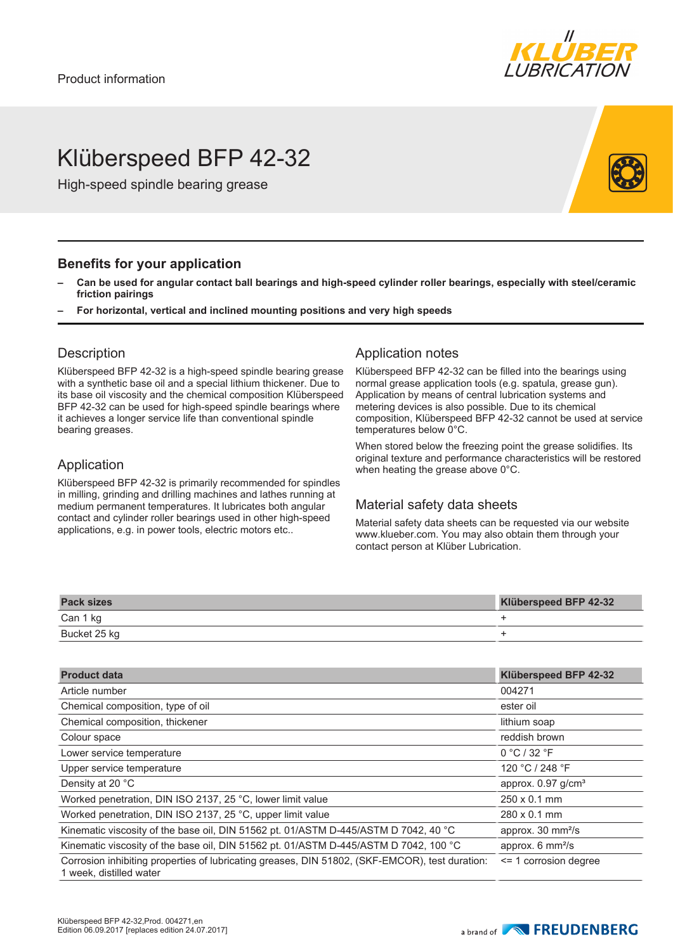

# Klüberspeed BFP 42-32

High-speed spindle bearing grease

#### **Benefits for your application**

- **– Can be used for angular contact ball bearings and high-speed cylinder roller bearings, especially with steel/ceramic friction pairings**
- **– For horizontal, vertical and inclined mounting positions and very high speeds**

#### **Description**

Klüberspeed BFP 42-32 is a high-speed spindle bearing grease with a synthetic base oil and a special lithium thickener. Due to its base oil viscosity and the chemical composition Klüberspeed BFP 42-32 can be used for high-speed spindle bearings where it achieves a longer service life than conventional spindle bearing greases.

### Application

Klüberspeed BFP 42-32 is primarily recommended for spindles in milling, grinding and drilling machines and lathes running at medium permanent temperatures. It lubricates both angular contact and cylinder roller bearings used in other high-speed applications, e.g. in power tools, electric motors etc..

#### Application notes

Klüberspeed BFP 42-32 can be filled into the bearings using normal grease application tools (e.g. spatula, grease gun). Application by means of central lubrication systems and metering devices is also possible. Due to its chemical composition, Klüberspeed BFP 42-32 cannot be used at service temperatures below 0°C.

When stored below the freezing point the grease solidifies. Its original texture and performance characteristics will be restored when heating the grease above 0°C.

### Material safety data sheets

Material safety data sheets can be requested via our website www.klueber.com. You may also obtain them through your contact person at Klüber Lubrication.

| <b>Pack sizes</b> | Klüberspeed BFP 42-32 |
|-------------------|-----------------------|
| Can 1 kg          |                       |
| Bucket 25 kg      |                       |

| <b>Product data</b>                                                                                                       | Klüberspeed BFP 42-32             |
|---------------------------------------------------------------------------------------------------------------------------|-----------------------------------|
| Article number                                                                                                            | 004271                            |
| Chemical composition, type of oil                                                                                         | ester oil                         |
| Chemical composition, thickener                                                                                           | lithium soap                      |
| Colour space                                                                                                              | reddish brown                     |
| Lower service temperature                                                                                                 | 0 °C / 32 °F                      |
| Upper service temperature                                                                                                 | 120 °C / 248 °F                   |
| Density at 20 °C                                                                                                          | approx. $0.97$ g/cm <sup>3</sup>  |
| Worked penetration, DIN ISO 2137, 25 °C, lower limit value                                                                | $250 \times 0.1$ mm               |
| Worked penetration, DIN ISO 2137, 25 °C, upper limit value                                                                | $280 \times 0.1$ mm               |
| Kinematic viscosity of the base oil, DIN 51562 pt. 01/ASTM D-445/ASTM D 7042, 40 °C                                       | approx. 30 mm <sup>2</sup> /s     |
| Kinematic viscosity of the base oil, DIN 51562 pt. 01/ASTM D-445/ASTM D 7042, 100 °C                                      | approx. $6 \text{ mm}^2\text{/s}$ |
| Corrosion inhibiting properties of lubricating greases, DIN 51802, (SKF-EMCOR), test duration:<br>1 week, distilled water | $\le$ 1 corrosion degree          |